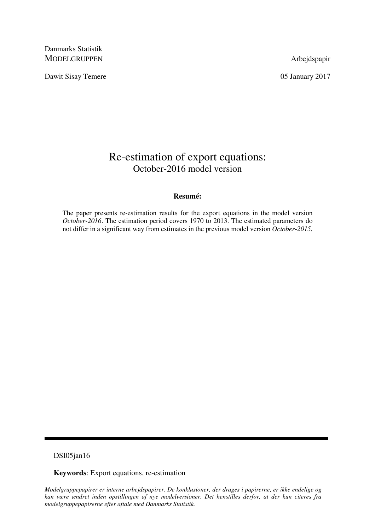Danmarks Statistik MODELGRUPPEN Arbejdspapir

Dawit Sisay Temere 05 January 2017

# Re-estimation of export equations: October-2016 model version

## **Resumé:**

The paper presents re-estimation results for the export equations in the model version *October-2016*. The estimation period covers 1970 to 2013. The estimated parameters do not differ in a significant way from estimates in the previous model version *October-2015.*

## DSI05jan16

**Keywords**: Export equations, re-estimation

*Modelgruppepapirer er interne arbejdspapirer. De konklusioner, der drages i papirerne, er ikke endelige og kan være ændret inden opstillingen af nye modelversioner. Det henstilles derfor, at der kun citeres fra modelgruppepapirerne efter aftale med Danmarks Statistik.*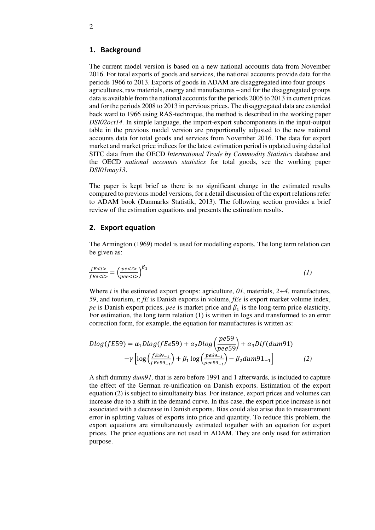#### 1. Background

The current model version is based on a new national accounts data from November 2016. For total exports of goods and services, the national accounts provide data for the periods 1966 to 2013. Exports of goods in ADAM are disaggregated into four groups – agricultures, raw materials, energy and manufactures – and for the disaggregated groups data is available from the national accounts for the periods 2005 to 2013 in current prices and for the periods 2008 to 2013 in pervious prices. The disaggregated data are extended back ward to 1966 using RAS-technique, the method is described in the working paper *DSI02oct14.* In simple language, the import-export subcomponents in the input-output table in the previous model version are proportionally adjusted to the new national accounts data for total goods and services from November 2016. The data for export market and market price indices for the latest estimation period is updated using detailed SITC data from the OECD *International Trade by Commodity Statistics* database and the OECD *national accounts statistics* for total goods, see the working paper *DSI01may13*.

The paper is kept brief as there is no significant change in the estimated results compared to previous model versions, for a detail discussion of the export relations refer to ADAM book (Danmarks Statistik, 2013). The following section provides a brief review of the estimation equations and presents the estimation results.

#### 2. Export equation

The Armington (1969) model is used for modelling exports. The long term relation can be given as:

$$
\frac{fE\n(1)
$$

Where *i* is the estimated export groups: agriculture, *01*, materials, *2+4*, manufactures, *59*, and tourism, *t*; *fE* is Danish exports in volume, *fEe* is export market volume index, *pe* is Danish export prices, *pee* is market price and  $\beta_1$  is the long-term price elasticity. For estimation, the long term relation (1) is written in logs and transformed to an error correction form, for example, the equation for manufactures is written as:

$$
Dlog(fE59) = \alpha_1 Dlog(fEe59) + \alpha_2 Dlog\left(\frac{pe59}{pee59}\right) + \alpha_3 Dif(dum91) - \gamma \left[log\left(\frac{fE59_{-1}}{fees9_{-1}}\right) + \beta_1 log\left(\frac{pe59_{-1}}{pees9_{-1}}\right) - \beta_2 dum91_{-1}\right]
$$
 (2)

A shift dummy *dum91,* that is zero before 1991 and 1 afterwards*,* is included to capture the effect of the German re-unification on Danish exports. Estimation of the export equation (2) is subject to simultaneity bias. For instance, export prices and volumes can increase due to a shift in the demand curve. In this case, the export price increase is not associated with a decrease in Danish exports. Bias could also arise due to measurement error in splitting values of exports into price and quantity. To reduce this problem, the export equations are simultaneously estimated together with an equation for export prices. The price equations are not used in ADAM. They are only used for estimation purpose.